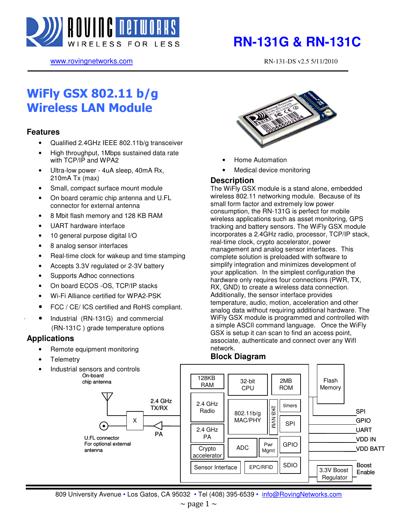

www.rovingnetworks.com RN-131-DS v2.5 5/11/2010

# WiFly GSX 802.11 b/g Wireless LAN Module

### **Features**

- Qualified 2.4GHz IEEE 802.11b/g transceiver
- High throughput, 1Mbps sustained data rate with TCP/IP and WPA2
- Ultra-low power 4uA sleep, 40mA Rx, 210mA Tx (max)
- Small, compact surface mount module
- On board ceramic chip antenna and U.FL connector for external antenna
- 8 Mbit flash memory and 128 KB RAM
- UART hardware interface
- 10 general purpose digital I/O
- 8 analog sensor interfaces
- Real-time clock for wakeup and time stamping
- Accepts 3.3V regulated or 2-3V battery
- Supports Adhoc connections
- On board ECOS -OS, TCP/IP stacks
- Wi-Fi Alliance certified for WPA2-PSK
- FCC / CE/ ICS certified and RoHS compliant.
- Industrial (RN-131G) and commercial (RN-131C ) grade temperature options

### **Applications**

- Remote equipment monitoring
- **Telemetry**
- Industrial sensors and controls On-board





- Home Automation
- Medical device monitoring

### **Description**

The WiFly GSX module is a stand alone, embedded wireless 802.11 networking module. Because of its small form factor and extremely low power consumption, the RN-131G is perfect for mobile wireless applications such as asset monitoring, GPS tracking and battery sensors. The WiFly GSX module incorporates a 2.4GHz radio, processor, TCP/IP stack, real-time clock, crypto accelerator, power management and analog sensor interfaces. This complete solution is preloaded with software to simplify integration and minimizes development of your application. In the simplest configuration the hardware only requires four connections (PWR, TX, RX, GND) to create a wireless data connection. Additionally, the sensor interface provides temperature, audio, motion, acceleration and other analog data without requiring additional hardware. The WiFly GSX module is programmed and controlled with a simple ASCII command language. Once the WiFly GSX is setup it can scan to find an access point, associate, authenticate and connect over any WifI network.

### **Block Diagram**

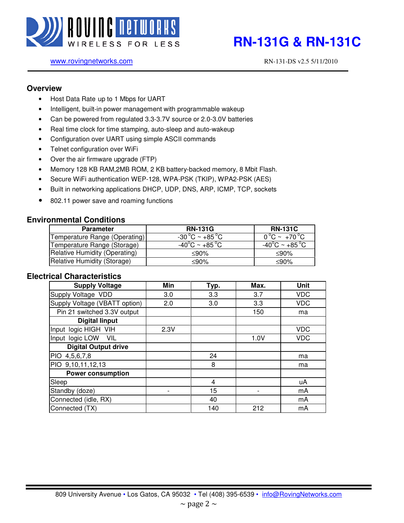

### www.rovingnetworks.com RN-131-DS v2.5 5/11/2010

### **Overview**

- Host Data Rate up to 1 Mbps for UART
- Intelligent, built-in power management with programmable wakeup
- Can be powered from regulated 3.3-3.7V source or 2.0-3.0V batteries
- Real time clock for time stamping, auto-sleep and auto-wakeup
- Configuration over UART using simple ASCII commands
- Telnet configuration over WiFi
- Over the air firmware upgrade (FTP)
- Memory 128 KB RAM,2MB ROM, 2 KB battery-backed memory, 8 Mbit Flash.
- Secure WiFi authentication WEP-128, WPA-PSK (TKIP), WPA2-PSK (AES)
- Built in networking applications DHCP, UDP, DNS, ARP, ICMP, TCP, sockets
- 802.11 power save and roaming functions

### **Environmental Conditions**

| <b>Parameter</b>              | <b>RN-131G</b>                                     | <b>RN-131C</b>                      |
|-------------------------------|----------------------------------------------------|-------------------------------------|
| Temperature Range (Operating) | $-30\,^{\circ}\text{C} \sim +85\,^{\circ}\text{C}$ | $0^{\circ}$ C ~ +70 $^{\circ}$ C    |
| Temperature Range (Storage)   | -40 $^{\circ}$ C ~ +85 $^{\circ}$ C                | -40 $^{\circ}$ C ~ +85 $^{\circ}$ C |
| Relative Humidity (Operating) | ≤90%                                               | ≤90%                                |
| Relative Humidity (Storage)   | ≤90%                                               | ≤90%                                |

### **Electrical Characteristics**

| <b>Supply Voltage</b>         | Min  | Typ. | Max. | Unit       |
|-------------------------------|------|------|------|------------|
| Supply Voltage VDD            | 3.0  | 3.3  | 3.7  | <b>VDC</b> |
| Supply Voltage (VBATT option) | 2.0  | 3.0  | 3.3  | <b>VDC</b> |
| Pin 21 switched 3.3V output   |      |      | 150  | ma         |
| <b>Digital linput</b>         |      |      |      |            |
| Input logic HIGH VIH          | 2.3V |      |      | <b>VDC</b> |
| Input logic LOW VIL           |      |      | 1.0V | <b>VDC</b> |
| <b>Digital Output drive</b>   |      |      |      |            |
| PIO 4,5,6,7,8                 |      | 24   |      | ma         |
| PIO 9,10,11,12,13             |      | 8    |      | ma         |
| <b>Power consumption</b>      |      |      |      |            |
| Sleep                         |      | 4    |      | uA         |
| Standby (doze)                |      | 15   |      | mA         |
| Connected (idle, RX)          |      | 40   |      | mA         |
| Connected (TX)                |      | 140  | 212  | mA         |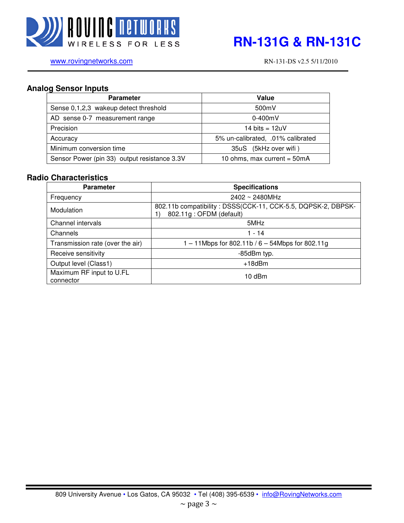

www.rovingnetworks.com RN-131-DS v2.5 5/11/2010

### **Analog Sensor Inputs**

| <b>Parameter</b>                             | Value                             |
|----------------------------------------------|-----------------------------------|
| Sense 0,1,2,3 wakeup detect threshold        | 500mV                             |
| AD sense 0-7 measurement range               | $0-400$ m $V$                     |
| Precision                                    | 14 bits = $12uV$                  |
| Accuracy                                     | 5% un-calibrated, .01% calibrated |
| Minimum conversion time                      | 35uS (5kHz over wifi)             |
| Sensor Power (pin 33) output resistance 3.3V | 10 ohms, max current = $50mA$     |

### **Radio Characteristics**

| <b>Parameter</b>                      | <b>Specifications</b>                                                                   |
|---------------------------------------|-----------------------------------------------------------------------------------------|
| Frequency                             | $2402 \sim 2480$ MHz                                                                    |
| Modulation                            | 802.11b compatibility: DSSS(CCK-11, CCK-5.5, DQPSK-2, DBPSK-<br>802.11g: OFDM (default) |
| Channel intervals                     | 5MHz                                                                                    |
| Channels                              | $1 - 14$                                                                                |
| Transmission rate (over the air)      | 1 – 11Mbps for 802.11b / 6 – 54Mbps for 802.11g                                         |
| Receive sensitivity                   | -85dBm typ.                                                                             |
| Output level (Class1)                 | $+18$ d $Bm$                                                                            |
| Maximum RF input to U.FL<br>connector | $10$ dBm                                                                                |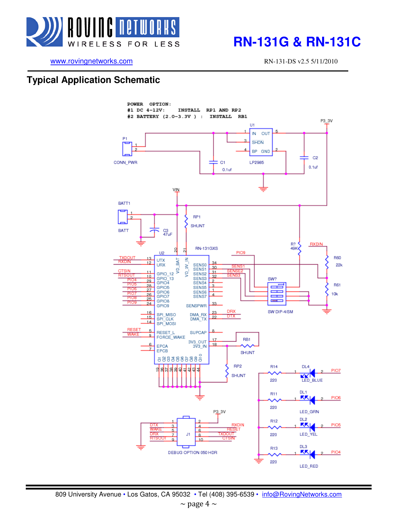

# **RELESS FOR LESS <b>RN-131G & RN-131C**

www.rovingnetworks.com RN-131-DS v2.5 5/11/2010

## **Typical Application Schematic**

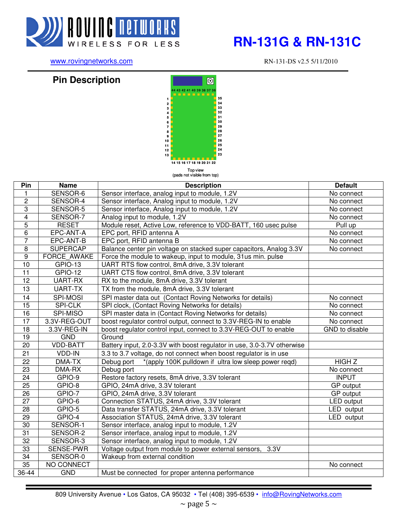

# WIRELESS FOR LESS **RN-131G & RN-131C**

www.rovingnetworks.com RN-131-DS v2.5 5/11/2010

## **Pin Description**



| Pin             | <b>Name</b>        | <b>Description</b>                                                      | <b>Default</b>    |
|-----------------|--------------------|-------------------------------------------------------------------------|-------------------|
| 1               | SENSOR-6           | Sensor interface, analog input to module, 1.2V                          | No connect        |
| $\overline{2}$  | SENSOR-4           | Sensor interface, Analog input to module, 1.2V                          | No connect        |
| $\overline{3}$  | SENSOR-5           | Sensor interface, Analog input to module, 1.2V                          | No connect        |
| $\overline{4}$  | SENSOR-7           | Analog input to module, 1.2V                                            | No connect        |
| $\overline{5}$  | <b>RESET</b>       | Module reset, Active Low, reference to VDD-BATT, 160 usec pulse         | Pull up           |
| 6               | EPC-ANT-A          | EPC port, RFID antenna A                                                | No connect        |
| $\overline{7}$  | EPC-ANT-B          | EPC port, RFID antenna B                                                | No connect        |
| $\overline{8}$  | <b>SUPERCAP</b>    | Balance center pin voltage on stacked super capacitors, Analog 3.3V     | No connect        |
| $\overline{9}$  | <b>FORCE AWAKE</b> | Force the module to wakeup, input to module, 31us min. pulse            |                   |
| $\overline{10}$ | GPIO-13            | UART RTS flow control, 8mA drive, 3.3V tolerant                         |                   |
| $\overline{11}$ | GPIO-12            | UART CTS flow control, 8mA drive, 3.3V tolerant                         |                   |
| $\overline{12}$ | UART-RX            | RX to the module, 8mA drive, 3.3V tolerant                              |                   |
| 13              | UART-TX            | TX from the module, 8mA drive, 3.3V tolerant                            |                   |
| 14              | <b>SPI-MOSI</b>    | SPI master data out (Contact Roving Networks for details)               | No connect        |
| 15              | <b>SPI-CLK</b>     | SPI clock, (Contact Roving Networks for details)                        | No connect        |
| 16              | SPI-MISO           | SPI master data in (Contact Roving Networks for details)                | No connect        |
| 17              | 3.3V-REG-OUT       | boost regulator control output, connect to 3.3V-REG-IN to enable        | No connect        |
| $\overline{18}$ | 3.3V-REG-IN        | boost regulator control input, connect to 3.3V-REG-OUT to enable        | GND to disable    |
| 19              | GND                | Ground                                                                  |                   |
| $\overline{20}$ | <b>VDD-BATT</b>    | Battery input, 2.0-3.3V with boost regulator in use, 3.0-3.7V otherwise |                   |
| $\overline{21}$ | VDD-IN             | 3.3 to 3.7 voltage, do not connect when boost regulator is in use       |                   |
| $\overline{22}$ | DMA-TX             | *(apply 100K pulldown if ultra low sleep power regd)<br>Debug port      | <b>HIGHZ</b>      |
| $\overline{23}$ | <b>DMA-RX</b>      | Debug port                                                              | No connect        |
| 24              | GPIO-9             | Restore factory resets, 8mA drive, 3.3V tolerant                        | <b>INPUT</b>      |
| 25              | GPIO-8             | GPIO, 24mA drive, 3.3V tolerant                                         | GP output         |
| 26              | GPIO-7             | GPIO, 24mA drive, 3.3V tolerant                                         | <b>GP</b> output  |
| 27              | GPIO-6             | Connection STATUS, 24mA drive, 3.3V tolerant                            | <b>LED</b> output |
| $\overline{28}$ | GPIO-5             | Data transfer STATUS, 24mA drive, 3.3V tolerant                         | LED output        |
| 29              | GPIO-4             | Association STATUS, 24mA drive, 3.3V tolerant                           | LED output        |
| 30              | SENSOR-1           | Sensor interface, analog input to module, 1.2V                          |                   |
| $\overline{31}$ | SENSOR-2           | Sensor interface, analog input to module, 1.2V                          |                   |
| $\overline{32}$ | SENSOR-3           | Sensor interface, analog input to module, 1.2V                          |                   |
| 33              | <b>SENSE-PWR</b>   | Voltage output from module to power external sensors, 3.3V              |                   |
| $\overline{34}$ | SENSOR-0           | Wakeup from external condition                                          |                   |
| 35              | NO CONNECT         |                                                                         | No connect        |
| $36 - 44$       | <b>GND</b>         | Must be connected for proper antenna performance                        |                   |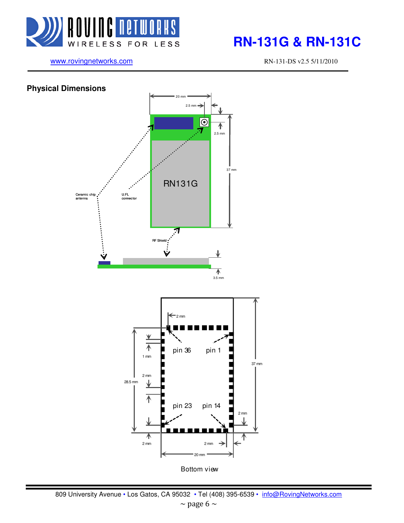

# **RELESS FOR LESS RN-131G & RN-131C**

www.rovingnetworks.com RN-131-DS v2.5 5/11/2010

## **Physical Dimensions**  20 mm 2.5 mm  $\boxed{\odot}$ ↑ 2.5 mm 37 mm RN131G Ceramic cl U.FL antenna connector 刁 RF Shi 不 3.5 mm  $\leftarrow$  2 mm ⊻ ↑ pin 36 pin 11 mm 37 mm 2 mm 28.5 mm ⇃ ↑ pin 23 pin 14 2 mm 不 2 mm 2 mm 20 mm

Bottom view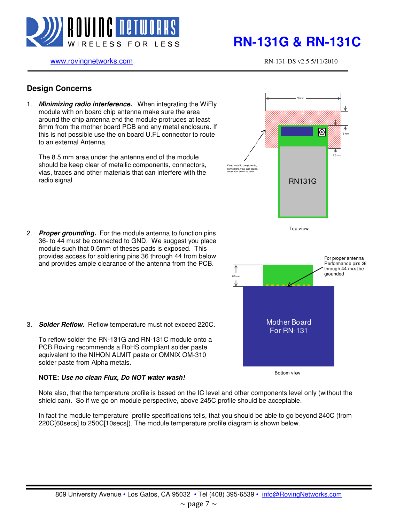

www.rovingnetworks.com RN-131-DS v2.5 5/11/2010

30 mm

RN131G

Top view

Keep metallic components, mectors,,vias away from antenna area

8.5 mm

 $\overline{\circ}$ 

6 mm

### **Design Concerns**

1. **Minimizing radio interference.** When integrating the WiFly module with on board chip antenna make sure the area around the chip antenna end the module protrudes at least 6mm from the mother board PCB and any metal enclosure. If this is not possible use the on board U.FL connector to route to an external Antenna.

The 8.5 mm area under the antenna end of the module should be keep clear of metallic components, connectors, vias, traces and other materials that can interfere with the radio signal.

2. **Proper grounding.** For the module antenna to function pins 36- to 44 must be connected to GND. We suggest you place module such that 0.5mm of theses pads is exposed. This provides access for soldiering pins 36 through 44 from below and provides ample clearance of the antenna from the PCB.



3. **Solder Reflow.** Reflow temperature must not exceed 220C.

To reflow solder the RN-131G and RN-131C module onto a PCB Roving recommends a RoHS compliant solder paste equivalent to the NIHON ALMIT paste or OMNIX OM-310 solder paste from Alpha metals.

### **NOTE: Use no clean Flux, Do NOT water wash!**

Bottom view

Note also, that the temperature profile is based on the IC level and other components level only (without the shield can). So if we go on module perspective, above 245C profile should be acceptable.

In fact the module temperature profile specifications tells, that you should be able to go beyond 240C (from 220C[60secs] to 250C[10secs]). The module temperature profile diagram is shown below.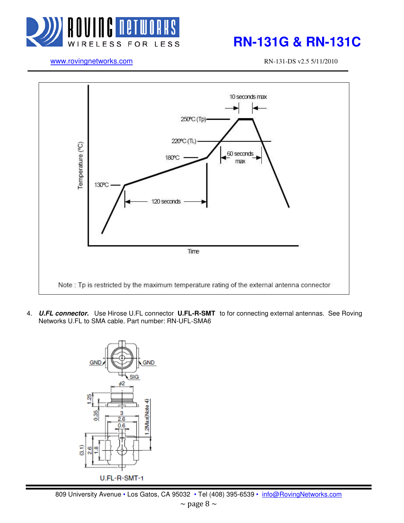

# **RN-131G & RN-131C RN-131C**

www.rovingnetworks.com RN-131-DS v2.5 5/11/2010



4. **U.FL connector.** Use Hirose U.FL connector **U.FL-R-SMT** to for connecting external antennas. See Roving Networks U.FL to SMA cable. Part number: RN-UFL-SMA6

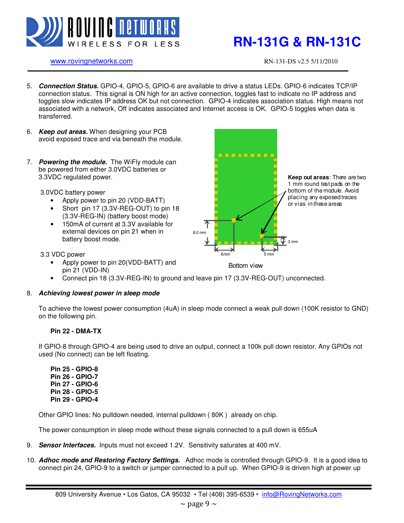

### www.rovingnetworks.com RN-131-DS v2.5 5/11/2010

- 5. **Connection Status.** GPIO-4, GPIO-5, GPIO-6 are available to drive a status LEDs. GPIO-6 indicates TCP/IP connection status. This signal is ON high for an active connection, toggles fast to indicate no IP address and toggles slow indicates IP address OK but not connection. GPIO-4 indicates association status. High means not associated with a network, Off indicates associated and Internet access is OK. GPIO-5 toggles when data is transferred.
- 6. **Keep out areas.** When designing your PCB avoid exposed trace and via beneath the module.
- 7. **Powering the module.** The WiFly module can be powered from either 3.0VDC batteries or 3.3VDC regulated power.

3.0VDC battery power

- Apply power to pin 20 (VDD-BATT)
- Short pin 17 (3.3V-REG-OUT) to pin 18 (3.3V-REG-IN) (battery boost mode)
- 150mA of current at 3.3V available for external devices on pin 21 when in battery boost mode.



### 3.3 VDC power

• Apply power to pin 20(VDD-BATT) and pin 21 (VDD-IN)

Bottom view

• Connect pin 18 (3.3V-REG-IN) to ground and leave pin 17 (3.3V-REG-OUT) unconnected.

### 8. **Achieving lowest power in sleep mode**

To achieve the lowest power consumption (4uA) in sleep mode connect a weak pull down (100K resistor to GND) on the following pin.

### **Pin 22 - DMA-TX**

If GPIO-8 through GPIO-4 are being used to drive an output, connect a 100k pull down resistor. Any GPIOs not used (No connect) can be left floating.

**Pin 25 - GPIO-8 Pin 26 - GPIO-7 Pin 27 - GPIO-6 Pin 28 - GPIO-5 Pin 29 - GPIO-4** 

Other GPIO lines: No pulldown needed, internal pulldown ( 80K ) already on chip.

The power consumption in sleep mode without these signals connected to a pull down is 655uA

- 9. **Sensor Interfaces.** Inputs must not exceed 1.2V. Sensitivity saturates at 400 mV.
- 10. **Adhoc mode and Restoring Factory Settings.** Adhoc mode is controlled through GPIO-9. It is a good idea to connect pin 24, GPIO-9 to a switch or jumper connected to a pull up. When GPIO-9 is driven high at power up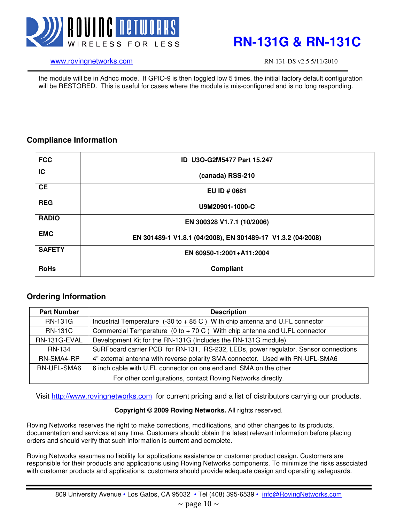

### www.rovingnetworks.com RN-131-DS v2.5 5/11/2010

the module will be in Adhoc mode. If GPIO-9 is then toggled low 5 times, the initial factory default configuration will be RESTORED. This is useful for cases where the module is mis-configured and is no long responding.

### **Compliance Information**

| <b>FCC</b>    | ID U3O-G2M5477 Part 15.247                                  |
|---------------|-------------------------------------------------------------|
| <b>IC</b>     | (canada) RSS-210                                            |
| <b>CE</b>     | EU ID # 0681                                                |
| <b>REG</b>    | U9M20901-1000-C                                             |
| <b>RADIO</b>  | EN 300328 V1.7.1 (10/2006)                                  |
| <b>EMC</b>    | EN 301489-1 V1.8.1 (04/2008), EN 301489-17 V1.3.2 (04/2008) |
| <b>SAFETY</b> | EN 60950-1:2001+A11:2004                                    |
| <b>RoHs</b>   | Compliant                                                   |

### **Ordering Information**

| <b>Part Number</b>                                          | <b>Description</b>                                                                            |
|-------------------------------------------------------------|-----------------------------------------------------------------------------------------------|
| <b>RN-131G</b>                                              | Industrial Temperature $(-30 \text{ to } +85 \text{ C})$ With chip antenna and U.FL connector |
| <b>RN-131C</b>                                              | Commercial Temperature $(0 \text{ to } +70 \text{ C})$ With chip antenna and U.FL connector   |
| RN-131G-EVAL                                                | Development Kit for the RN-131G (Includes the RN-131G module)                                 |
| RN-134                                                      | SuRFboard carrier PCB for RN-131, RS-232, LEDs, power regulator. Sensor connections           |
| RN-SMA4-RP                                                  | 4" external antenna with reverse polarity SMA connector. Used with RN-UFL-SMA6                |
| RN-UFL-SMA6                                                 | 6 inch cable with U.FL connector on one end and SMA on the other                              |
| For other configurations, contact Roving Networks directly. |                                                                                               |

Visit http://www.rovingnetworks.com for current pricing and a list of distributors carrying our products.

### **Copyright © 2009 Roving Networks.** All rights reserved.

Roving Networks reserves the right to make corrections, modifications, and other changes to its products, documentation and services at any time. Customers should obtain the latest relevant information before placing orders and should verify that such information is current and complete.

Roving Networks assumes no liability for applications assistance or customer product design. Customers are responsible for their products and applications using Roving Networks components. To minimize the risks associated with customer products and applications, customers should provide adequate design and operating safeguards.